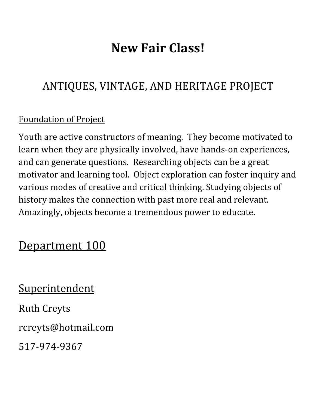# **New Fair Class!**

# ANTIQUES, VINTAGE, AND HERITAGE PROJECT

## **Foundation of Project**

Youth are active constructors of meaning. They become motivated to learn when they are physically involved, have hands-on experiences, and can generate questions. Researching objects can be a great motivator and learning tool. Object exploration can foster inquiry and various modes of creative and critical thinking. Studying objects of history makes the connection with past more real and relevant. Amazingly, objects become a tremendous power to educate.

# Department 100

**Superintendent** Ruth Creyts rcreyts@hotmail.com 517-974-9367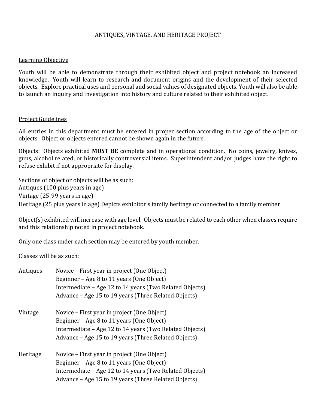### ANTIQUES, VINTAGE, AND HERITAGE PROJECT

#### Learning Objective

Youth will be able to demonstrate through their exhibited object and project notebook an increased knowledge. Youth will learn to research and document origins and the development of their selected objects. Explore practical uses and personal and social values of designated objects. Youth will also be able to launch an inquiry and investigation into history and culture related to their exhibited object.

#### **Project Guidelines**

All entries in this department must be entered in proper section according to the age of the object or objects. Object or objects entered cannot be shown again in the future.

Objects: Objects exhibited **MUST BE** complete and in operational condition. No coins, jewelry, knives, guns, alcohol related, or historically controversial items. Superintendent and/or judges have the right to refuse exhibit if not appropriate for display.

Sections of object or objects will be as such: Antiques  $(100$  plus years in age) Vintage (25-99 years in age) Heritage (25 plus years in age) Depicts exhibitor's family heritage or connected to a family member

Object(s) exhibited will increase with age level. Objects must be related to each other when classes require and this relationship noted in project notebook.

Only one class under each section may be entered by youth member.

Classes will be as such:

| Antiques | Novice – First year in project (One Object)<br>Beginner – Age 8 to 11 years (One Object) |  |  |  |  |
|----------|------------------------------------------------------------------------------------------|--|--|--|--|
|          |                                                                                          |  |  |  |  |
|          | Intermediate - Age 12 to 14 years (Two Related Objects)                                  |  |  |  |  |
|          | Advance - Age 15 to 19 years (Three Related Objects)                                     |  |  |  |  |
| Vintage  | Novice – First year in project (One Object)                                              |  |  |  |  |
|          | Beginner – Age 8 to 11 years (One Object)                                                |  |  |  |  |
|          | Intermediate – Age 12 to 14 years (Two Related Objects)                                  |  |  |  |  |
|          | Advance - Age 15 to 19 years (Three Related Objects)                                     |  |  |  |  |
| Heritage | Novice – First year in project (One Object)                                              |  |  |  |  |
|          | Beginner - Age 8 to 11 years (One Object)                                                |  |  |  |  |
|          | Intermediate - Age 12 to 14 years (Two Related Objects)                                  |  |  |  |  |
|          | Advance - Age 15 to 19 years (Three Related Objects)                                     |  |  |  |  |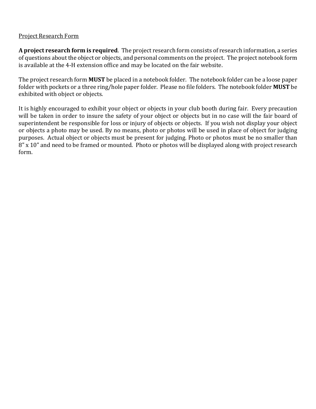### **Project Research Form**

A project research form is required. The project research form consists of research information, a series of questions about the object or objects, and personal comments on the project. The project notebook form is available at the 4-H extension office and may be located on the fair website.

The project research form **MUST** be placed in a notebook folder. The notebook folder can be a loose paper folder with pockets or a three ring/hole paper folder. Please no file folders. The notebook folder **MUST** be exhibited with object or objects.

It is highly encouraged to exhibit your object or objects in your club booth during fair. Every precaution will be taken in order to insure the safety of your object or objects but in no case will the fair board of superintendent be responsible for loss or injury of objects or objects. If you wish not display your object or objects a photo may be used. By no means, photo or photos will be used in place of object for judging purposes. Actual object or objects must be present for judging. Photo or photos must be no smaller than  $8"$  x 10" and need to be framed or mounted. Photo or photos will be displayed along with project research form.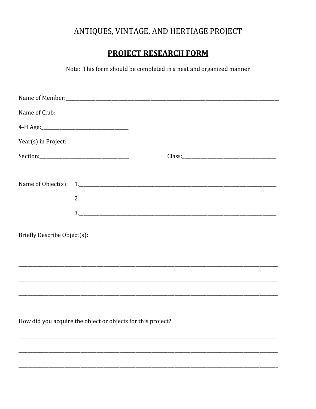## ANTIQUES, VINTAGE, AND HERTIAGE PROJECT

## **PROJECT RESEARCH FORM**

Note: This form should be completed in a neat and organized manner

|                             | $\frac{3}{2}$                                               |  |  |
|-----------------------------|-------------------------------------------------------------|--|--|
| Briefly Describe Object(s): |                                                             |  |  |
|                             |                                                             |  |  |
|                             |                                                             |  |  |
|                             |                                                             |  |  |
|                             |                                                             |  |  |
|                             | How did you acquire the object or objects for this project? |  |  |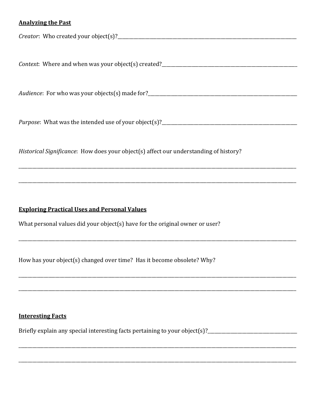### **Analyzing the Past**

Purpose: What was the intended use of your object(s)?

Historical Significance: How does your object(s) affect our understanding of history?

### **Exploring Practical Uses and Personal Values**

What personal values did your object(s) have for the original owner or user?

How has your object(s) changed over time? Has it become obsolete? Why?

### **Interesting Facts**